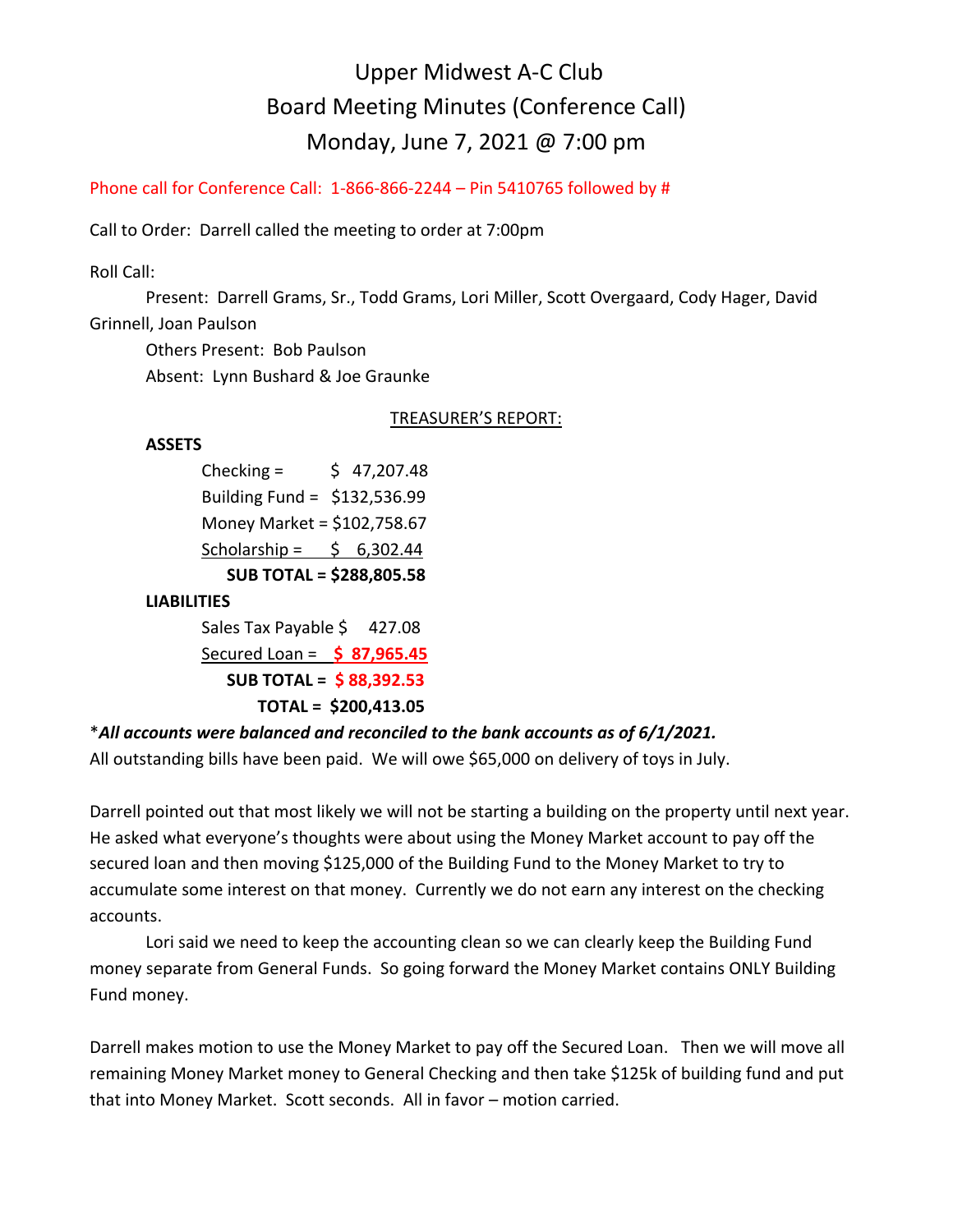# Upper Midwest A-C Club Board Meeting Minutes (Conference Call) Monday, June 7, 2021 @ 7:00 pm

Phone call for Conference Call: 1-866-866-2244 – Pin 5410765 followed by #

Call to Order: Darrell called the meeting to order at 7:00pm

Roll Call:

 Present: Darrell Grams, Sr., Todd Grams, Lori Miller, Scott Overgaard, Cody Hager, David Grinnell, Joan Paulson

 Others Present: Bob Paulson Absent: Lynn Bushard & Joe Graunke

#### TREASURER'S REPORT:

#### **ASSETS**

Checking =  $\frac{1}{2}$  47,207.48 Building Fund = \$132,536.99 Money Market = \$102,758.67 Scholarship =  $\frac{1}{2}$  6,302.44  **SUB TOTAL = \$288,805.58**

#### **LIABILITIES**

Sales Tax Payable \$427.08 Secured Loan = **\$ 87,965.45 SUB TOTAL = \$ 88,392.53 TOTAL = \$200,413.05**

## \**All accounts were balanced and reconciled to the bank accounts as of 6/1/2021.*

All outstanding bills have been paid. We will owe \$65,000 on delivery of toys in July.

Darrell pointed out that most likely we will not be starting a building on the property until next year. He asked what everyone's thoughts were about using the Money Market account to pay off the secured loan and then moving \$125,000 of the Building Fund to the Money Market to try to accumulate some interest on that money. Currently we do not earn any interest on the checking accounts.

Lori said we need to keep the accounting clean so we can clearly keep the Building Fund money separate from General Funds. So going forward the Money Market contains ONLY Building Fund money.

Darrell makes motion to use the Money Market to pay off the Secured Loan. Then we will move all remaining Money Market money to General Checking and then take \$125k of building fund and put that into Money Market. Scott seconds. All in favor – motion carried.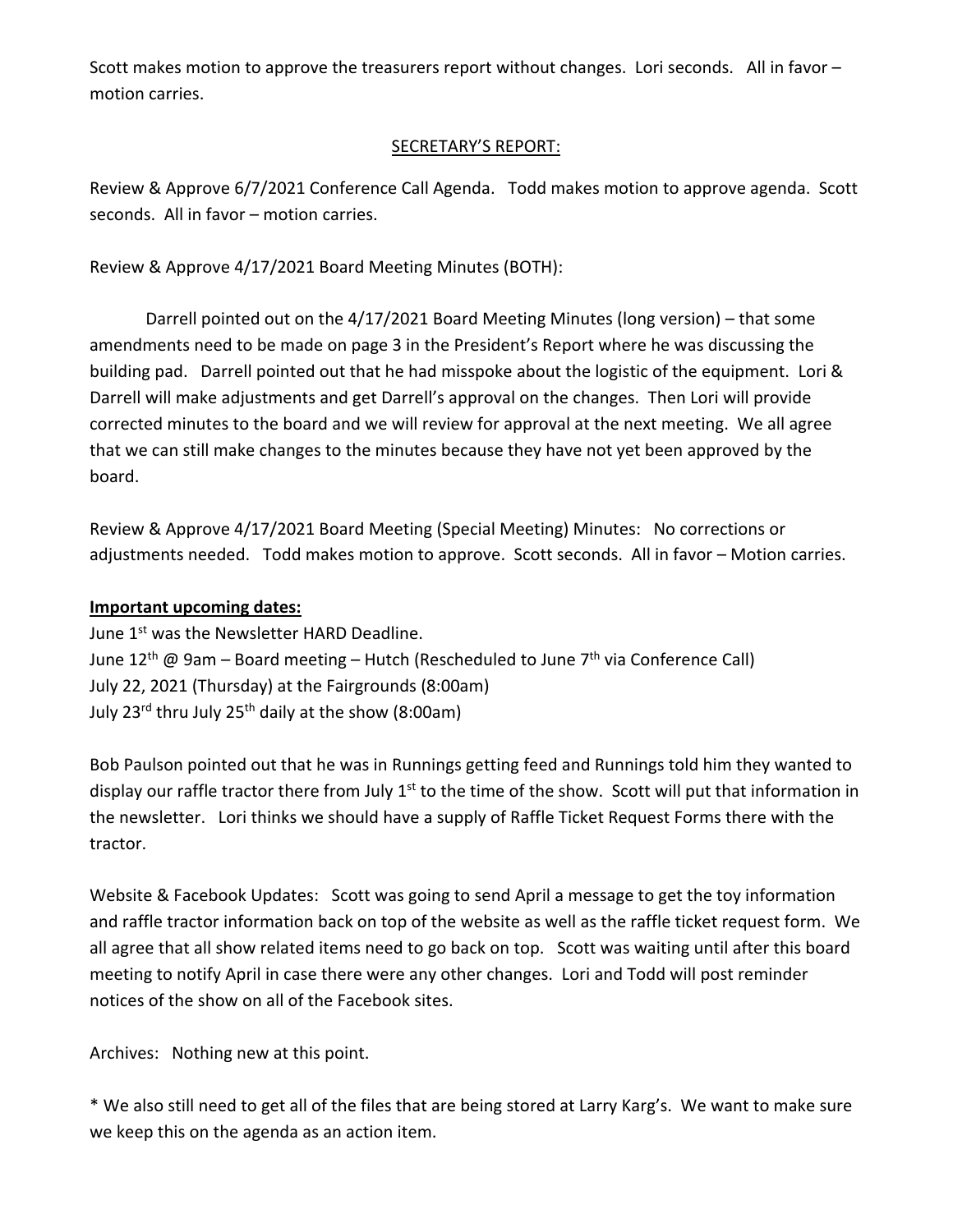Scott makes motion to approve the treasurers report without changes. Lori seconds. All in favor – motion carries.

# SECRETARY'S REPORT:

Review & Approve 6/7/2021 Conference Call Agenda. Todd makes motion to approve agenda. Scott seconds. All in favor – motion carries.

Review & Approve 4/17/2021 Board Meeting Minutes (BOTH):

Darrell pointed out on the 4/17/2021 Board Meeting Minutes (long version) – that some amendments need to be made on page 3 in the President's Report where he was discussing the building pad. Darrell pointed out that he had misspoke about the logistic of the equipment. Lori & Darrell will make adjustments and get Darrell's approval on the changes. Then Lori will provide corrected minutes to the board and we will review for approval at the next meeting. We all agree that we can still make changes to the minutes because they have not yet been approved by the board.

Review & Approve 4/17/2021 Board Meeting (Special Meeting) Minutes: No corrections or adjustments needed. Todd makes motion to approve. Scott seconds. All in favor – Motion carries.

## **Important upcoming dates:**

June 1<sup>st</sup> was the Newsletter HARD Deadline. June 12<sup>th</sup> @ 9am – Board meeting – Hutch (Rescheduled to June 7<sup>th</sup> via Conference Call) July 22, 2021 (Thursday) at the Fairgrounds (8:00am) July 23<sup>rd</sup> thru July 25<sup>th</sup> daily at the show (8:00am)

Bob Paulson pointed out that he was in Runnings getting feed and Runnings told him they wanted to display our raffle tractor there from July  $1<sup>st</sup>$  to the time of the show. Scott will put that information in the newsletter. Lori thinks we should have a supply of Raffle Ticket Request Forms there with the tractor.

Website & Facebook Updates: Scott was going to send April a message to get the toy information and raffle tractor information back on top of the website as well as the raffle ticket request form. We all agree that all show related items need to go back on top. Scott was waiting until after this board meeting to notify April in case there were any other changes. Lori and Todd will post reminder notices of the show on all of the Facebook sites.

Archives: Nothing new at this point.

\* We also still need to get all of the files that are being stored at Larry Karg's. We want to make sure we keep this on the agenda as an action item.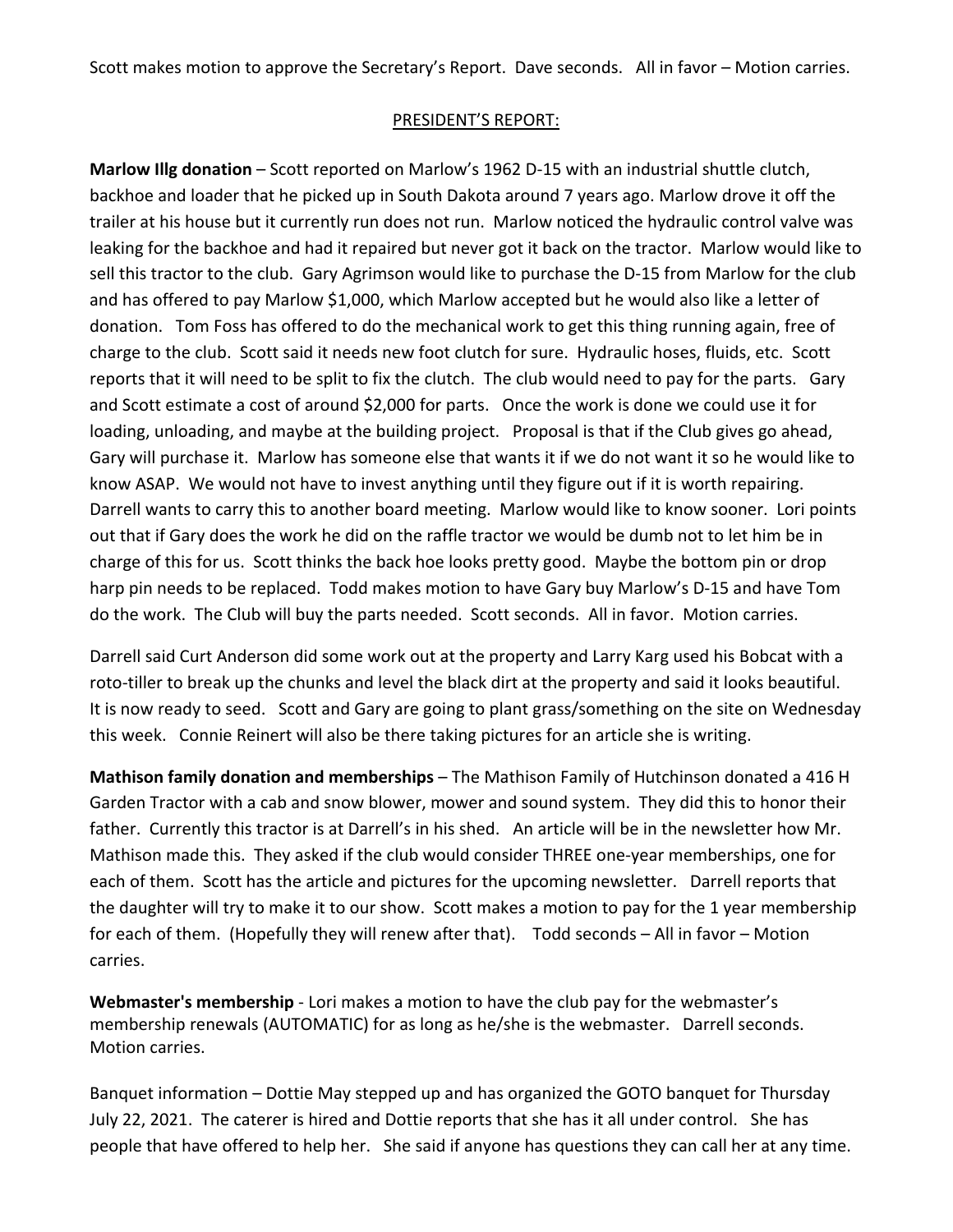Scott makes motion to approve the Secretary's Report. Dave seconds. All in favor – Motion carries.

#### PRESIDENT'S REPORT:

**Marlow Illg donation** – Scott reported on Marlow's 1962 D-15 with an industrial shuttle clutch, backhoe and loader that he picked up in South Dakota around 7 years ago. Marlow drove it off the trailer at his house but it currently run does not run. Marlow noticed the hydraulic control valve was leaking for the backhoe and had it repaired but never got it back on the tractor. Marlow would like to sell this tractor to the club. Gary Agrimson would like to purchase the D-15 from Marlow for the club and has offered to pay Marlow \$1,000, which Marlow accepted but he would also like a letter of donation. Tom Foss has offered to do the mechanical work to get this thing running again, free of charge to the club. Scott said it needs new foot clutch for sure. Hydraulic hoses, fluids, etc. Scott reports that it will need to be split to fix the clutch. The club would need to pay for the parts. Gary and Scott estimate a cost of around \$2,000 for parts. Once the work is done we could use it for loading, unloading, and maybe at the building project. Proposal is that if the Club gives go ahead, Gary will purchase it. Marlow has someone else that wants it if we do not want it so he would like to know ASAP. We would not have to invest anything until they figure out if it is worth repairing. Darrell wants to carry this to another board meeting. Marlow would like to know sooner. Lori points out that if Gary does the work he did on the raffle tractor we would be dumb not to let him be in charge of this for us. Scott thinks the back hoe looks pretty good. Maybe the bottom pin or drop harp pin needs to be replaced. Todd makes motion to have Gary buy Marlow's D-15 and have Tom do the work. The Club will buy the parts needed. Scott seconds. All in favor. Motion carries.

Darrell said Curt Anderson did some work out at the property and Larry Karg used his Bobcat with a roto-tiller to break up the chunks and level the black dirt at the property and said it looks beautiful. It is now ready to seed. Scott and Gary are going to plant grass/something on the site on Wednesday this week. Connie Reinert will also be there taking pictures for an article she is writing.

**Mathison family donation and memberships** – The Mathison Family of Hutchinson donated a 416 H Garden Tractor with a cab and snow blower, mower and sound system. They did this to honor their father. Currently this tractor is at Darrell's in his shed. An article will be in the newsletter how Mr. Mathison made this. They asked if the club would consider THREE one-year memberships, one for each of them. Scott has the article and pictures for the upcoming newsletter. Darrell reports that the daughter will try to make it to our show. Scott makes a motion to pay for the 1 year membership for each of them. (Hopefully they will renew after that). Todd seconds – All in favor – Motion carries.

**Webmaster's membership** - Lori makes a motion to have the club pay for the webmaster's membership renewals (AUTOMATIC) for as long as he/she is the webmaster. Darrell seconds. Motion carries.

Banquet information – Dottie May stepped up and has organized the GOTO banquet for Thursday July 22, 2021. The caterer is hired and Dottie reports that she has it all under control. She has people that have offered to help her. She said if anyone has questions they can call her at any time.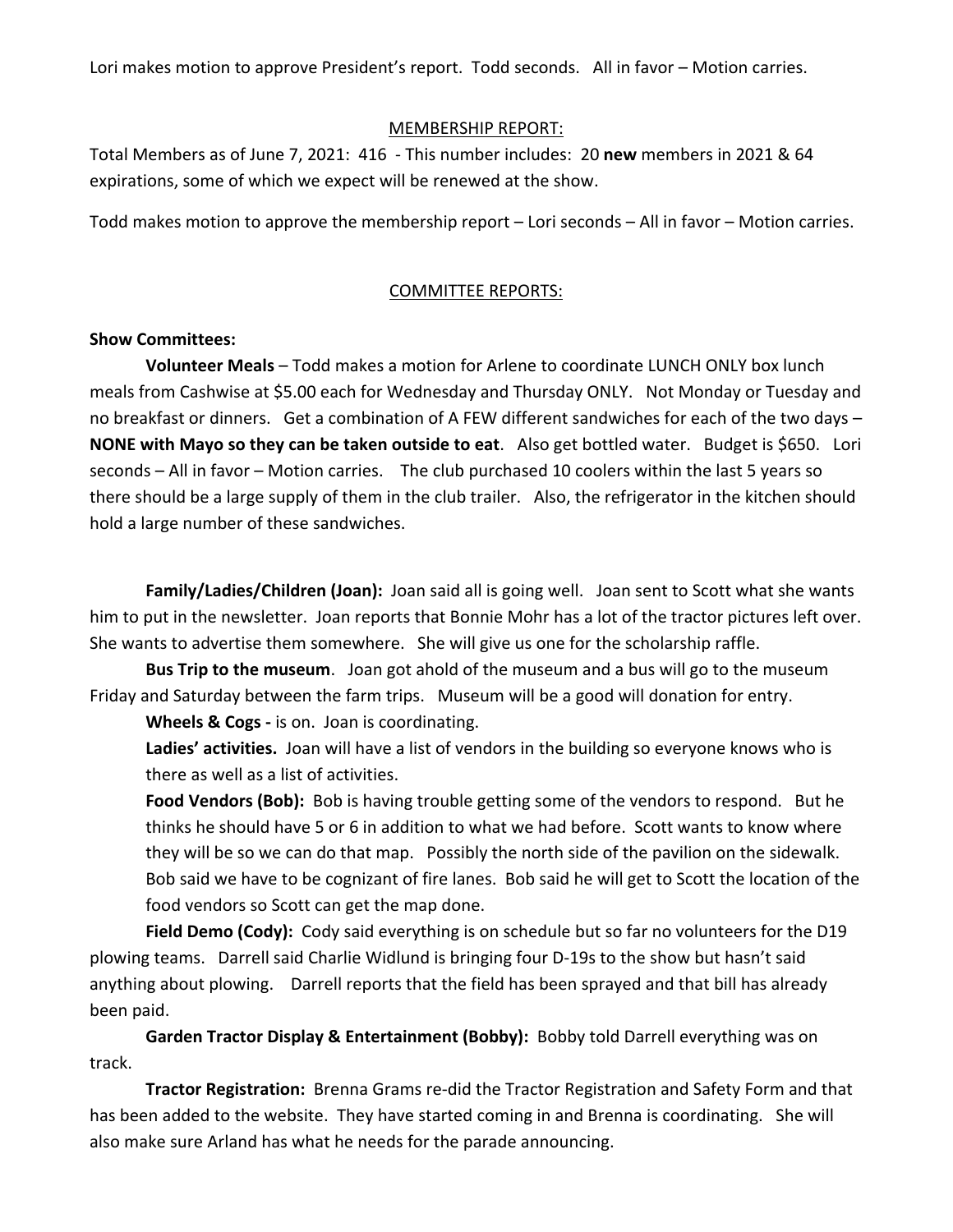Lori makes motion to approve President's report. Todd seconds. All in favor – Motion carries.

#### MEMBERSHIP REPORT:

Total Members as of June 7, 2021: 416 - This number includes: 20 **new** members in 2021 & 64 expirations, some of which we expect will be renewed at the show.

Todd makes motion to approve the membership report – Lori seconds – All in favor – Motion carries.

#### COMMITTEE REPORTS:

#### **Show Committees:**

**Volunteer Meals** – Todd makes a motion for Arlene to coordinate LUNCH ONLY box lunch meals from Cashwise at \$5.00 each for Wednesday and Thursday ONLY. Not Monday or Tuesday and no breakfast or dinners. Get a combination of A FEW different sandwiches for each of the two days – **NONE with Mayo so they can be taken outside to eat**. Also get bottled water. Budget is \$650. Lori seconds – All in favor – Motion carries. The club purchased 10 coolers within the last 5 years so there should be a large supply of them in the club trailer. Also, the refrigerator in the kitchen should hold a large number of these sandwiches.

**Family/Ladies/Children (Joan):** Joan said all is going well. Joan sent to Scott what she wants him to put in the newsletter. Joan reports that Bonnie Mohr has a lot of the tractor pictures left over. She wants to advertise them somewhere. She will give us one for the scholarship raffle.

**Bus Trip to the museum**. Joan got ahold of the museum and a bus will go to the museum Friday and Saturday between the farm trips. Museum will be a good will donation for entry.

**Wheels & Cogs -** is on. Joan is coordinating.

**Ladies' activities.** Joan will have a list of vendors in the building so everyone knows who is there as well as a list of activities.

**Food Vendors (Bob):** Bob is having trouble getting some of the vendors to respond. But he thinks he should have 5 or 6 in addition to what we had before. Scott wants to know where they will be so we can do that map. Possibly the north side of the pavilion on the sidewalk. Bob said we have to be cognizant of fire lanes. Bob said he will get to Scott the location of the food vendors so Scott can get the map done.

**Field Demo (Cody):** Cody said everything is on schedule but so far no volunteers for the D19 plowing teams. Darrell said Charlie Widlund is bringing four D-19s to the show but hasn't said anything about plowing. Darrell reports that the field has been sprayed and that bill has already been paid.

**Garden Tractor Display & Entertainment (Bobby):** Bobby told Darrell everything was on track.

**Tractor Registration:** Brenna Grams re-did the Tractor Registration and Safety Form and that has been added to the website. They have started coming in and Brenna is coordinating. She will also make sure Arland has what he needs for the parade announcing.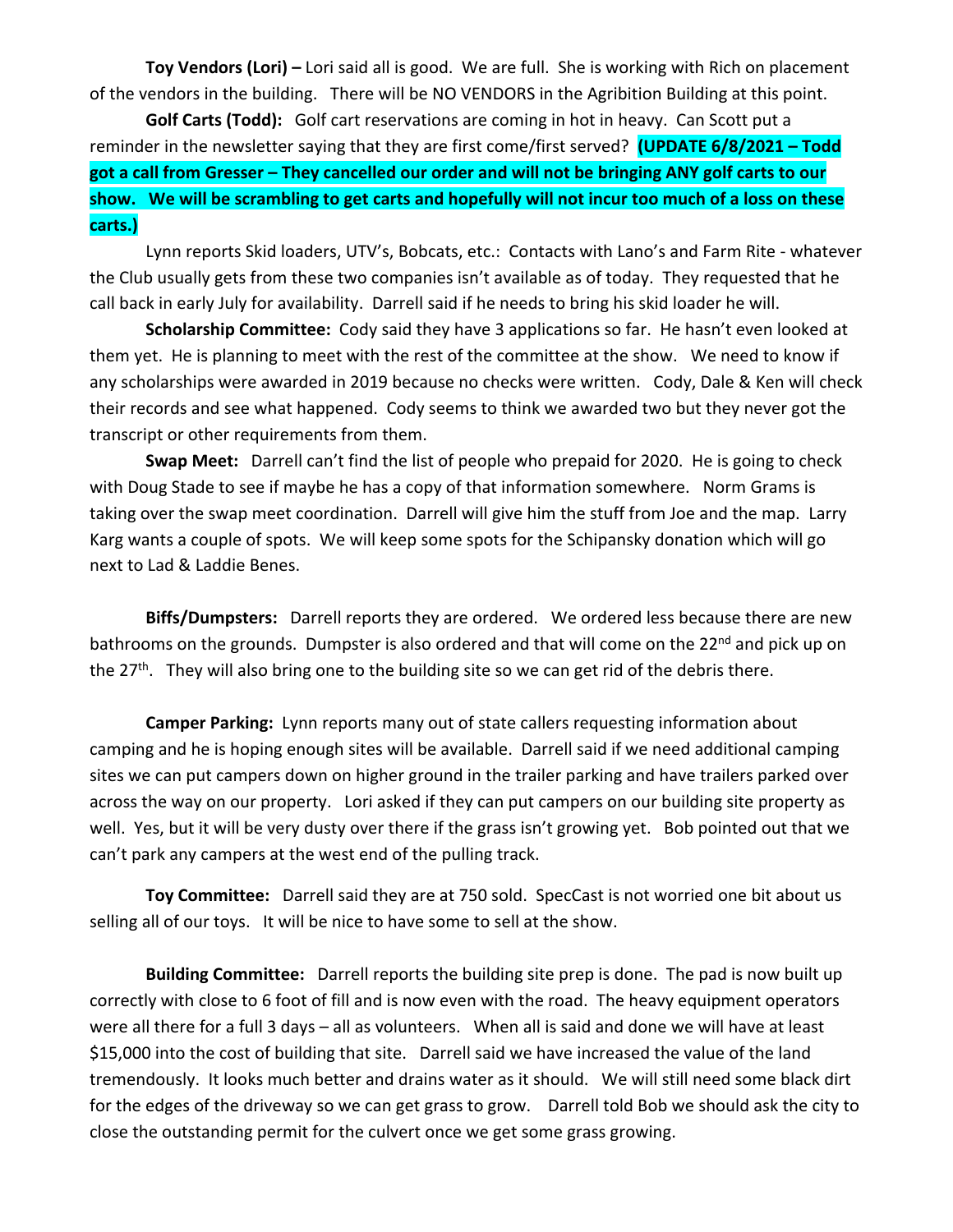**Toy Vendors (Lori) –** Lori said all is good. We are full. She is working with Rich on placement of the vendors in the building. There will be NO VENDORS in the Agribition Building at this point.

**Golf Carts (Todd):** Golf cart reservations are coming in hot in heavy.Can Scott put a reminder in the newsletter saying that they are first come/first served? **(UPDATE 6/8/2021 – Todd got a call from Gresser – They cancelled our order and will not be bringing ANY golf carts to our show. We will be scrambling to get carts and hopefully will not incur too much of a loss on these carts.)**

Lynn reports Skid loaders, UTV's, Bobcats, etc.: Contacts with Lano's and Farm Rite - whatever the Club usually gets from these two companies isn't available as of today. They requested that he call back in early July for availability. Darrell said if he needs to bring his skid loader he will.

**Scholarship Committee:** Cody said they have 3 applications so far. He hasn't even looked at them yet. He is planning to meet with the rest of the committee at the show. We need to know if any scholarships were awarded in 2019 because no checks were written. Cody, Dale & Ken will check their records and see what happened. Cody seems to think we awarded two but they never got the transcript or other requirements from them.

**Swap Meet:** Darrell can't find the list of people who prepaid for 2020. He is going to check with Doug Stade to see if maybe he has a copy of that information somewhere. Norm Grams is taking over the swap meet coordination. Darrell will give him the stuff from Joe and the map. Larry Karg wants a couple of spots. We will keep some spots for the Schipansky donation which will go next to Lad & Laddie Benes.

**Biffs/Dumpsters:** Darrell reports they are ordered. We ordered less because there are new bathrooms on the grounds. Dumpster is also ordered and that will come on the 22<sup>nd</sup> and pick up on the 27<sup>th</sup>. They will also bring one to the building site so we can get rid of the debris there.

**Camper Parking:** Lynn reports many out of state callers requesting information about camping and he is hoping enough sites will be available. Darrell said if we need additional camping sites we can put campers down on higher ground in the trailer parking and have trailers parked over across the way on our property. Lori asked if they can put campers on our building site property as well. Yes, but it will be very dusty over there if the grass isn't growing yet. Bob pointed out that we can't park any campers at the west end of the pulling track.

**Toy Committee:** Darrell said they are at 750 sold. SpecCast is not worried one bit about us selling all of our toys. It will be nice to have some to sell at the show.

**Building Committee:** Darrell reports the building site prep is done. The pad is now built up correctly with close to 6 foot of fill and is now even with the road. The heavy equipment operators were all there for a full 3 days – all as volunteers. When all is said and done we will have at least \$15,000 into the cost of building that site. Darrell said we have increased the value of the land tremendously. It looks much better and drains water as it should. We will still need some black dirt for the edges of the driveway so we can get grass to grow. Darrell told Bob we should ask the city to close the outstanding permit for the culvert once we get some grass growing.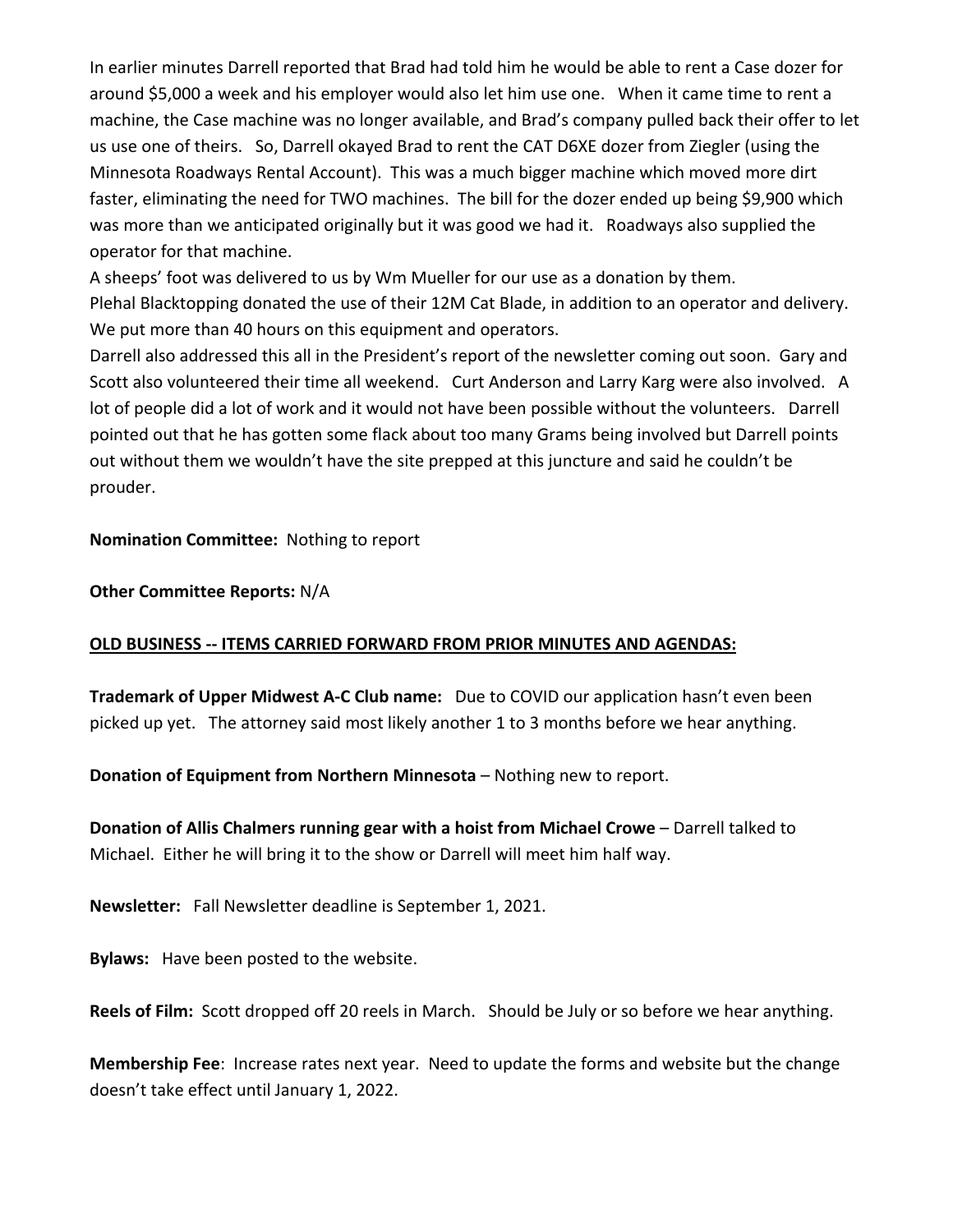In earlier minutes Darrell reported that Brad had told him he would be able to rent a Case dozer for around \$5,000 a week and his employer would also let him use one. When it came time to rent a machine, the Case machine was no longer available, and Brad's company pulled back their offer to let us use one of theirs. So, Darrell okayed Brad to rent the CAT D6XE dozer from Ziegler (using the Minnesota Roadways Rental Account). This was a much bigger machine which moved more dirt faster, eliminating the need for TWO machines. The bill for the dozer ended up being \$9,900 which was more than we anticipated originally but it was good we had it. Roadways also supplied the operator for that machine.

A sheeps' foot was delivered to us by Wm Mueller for our use as a donation by them.

Plehal Blacktopping donated the use of their 12M Cat Blade, in addition to an operator and delivery. We put more than 40 hours on this equipment and operators.

Darrell also addressed this all in the President's report of the newsletter coming out soon. Gary and Scott also volunteered their time all weekend. Curt Anderson and Larry Karg were also involved. A lot of people did a lot of work and it would not have been possible without the volunteers. Darrell pointed out that he has gotten some flack about too many Grams being involved but Darrell points out without them we wouldn't have the site prepped at this juncture and said he couldn't be prouder.

**Nomination Committee:** Nothing to report

**Other Committee Reports:** N/A

#### **OLD BUSINESS -- ITEMS CARRIED FORWARD FROM PRIOR MINUTES AND AGENDAS:**

**Trademark of Upper Midwest A-C Club name:** Due to COVID our application hasn't even been picked up yet. The attorney said most likely another 1 to 3 months before we hear anything.

**Donation of Equipment from Northern Minnesota** – Nothing new to report.

**Donation of Allis Chalmers running gear with a hoist from Michael Crowe** – Darrell talked to Michael. Either he will bring it to the show or Darrell will meet him half way.

**Newsletter:** Fall Newsletter deadline is September 1, 2021.

**Bylaws:** Have been posted to the website.

**Reels of Film:** Scott dropped off 20 reels in March. Should be July or so before we hear anything.

**Membership Fee**: Increase rates next year. Need to update the forms and website but the change doesn't take effect until January 1, 2022.